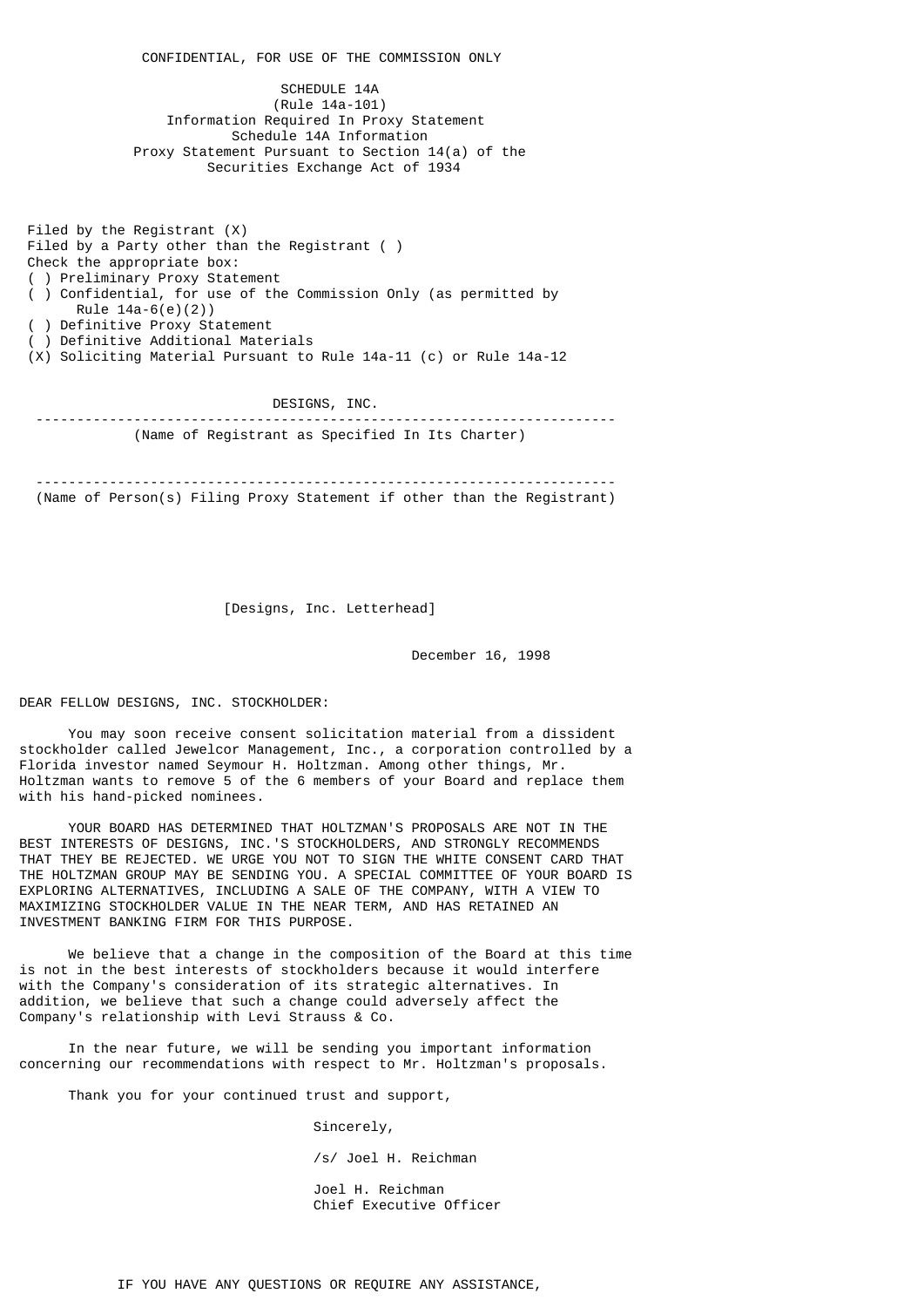CONFIDENTIAL, FOR USE OF THE COMMISSION ONLY SCHEDULE 14A (Rule 14a-101) Information Required In Proxy Statement Schedule 14A Information Proxy Statement Pursuant to Section 14(a) of the Securities Exchange Act of 1934

 Filed by the Registrant (X) Filed by a Party other than the Registrant ( ) Check the appropriate box: ( ) Preliminary Proxy Statement ( ) Confidential, for use of the Commission Only (as permitted by Rule 14a-6(e)(2)) ) Definitive Proxy Statement ) Definitive Additional Materials (X) Soliciting Material Pursuant to Rule 14a-11 (c) or Rule 14a-12

 DESIGNS, INC. ----------------------------------------------------------------------- (Name of Registrant as Specified In Its Charter)

 ----------------------------------------------------------------------- (Name of Person(s) Filing Proxy Statement if other than the Registrant)

[Designs, Inc. Letterhead]

December 16, 1998

DEAR FELLOW DESIGNS, INC. STOCKHOLDER:

 You may soon receive consent solicitation material from a dissident stockholder called Jewelcor Management, Inc., a corporation controlled by a Florida investor named Seymour H. Holtzman. Among other things, Mr. Holtzman wants to remove 5 of the 6 members of your Board and replace them with his hand-picked nominees.

 YOUR BOARD HAS DETERMINED THAT HOLTZMAN'S PROPOSALS ARE NOT IN THE BEST INTERESTS OF DESIGNS, INC.'S STOCKHOLDERS, AND STRONGLY RECOMMENDS THAT THEY BE REJECTED. WE URGE YOU NOT TO SIGN THE WHITE CONSENT CARD THAT THE HOLTZMAN GROUP MAY BE SENDING YOU. A SPECIAL COMMITTEE OF YOUR BOARD IS EXPLORING ALTERNATIVES, INCLUDING A SALE OF THE COMPANY, WITH A VIEW TO MAXIMIZING STOCKHOLDER VALUE IN THE NEAR TERM, AND HAS RETAINED AN INVESTMENT BANKING FIRM FOR THIS PURPOSE.

 We believe that a change in the composition of the Board at this time is not in the best interests of stockholders because it would interfere with the Company's consideration of its strategic alternatives. In addition, we believe that such a change could adversely affect the Company's relationship with Levi Strauss & Co.

 In the near future, we will be sending you important information concerning our recommendations with respect to Mr. Holtzman's proposals.

Thank you for your continued trust and support,

 Sincerely, /s/ Joel H. Reichman

 Joel H. Reichman Chief Executive Officer